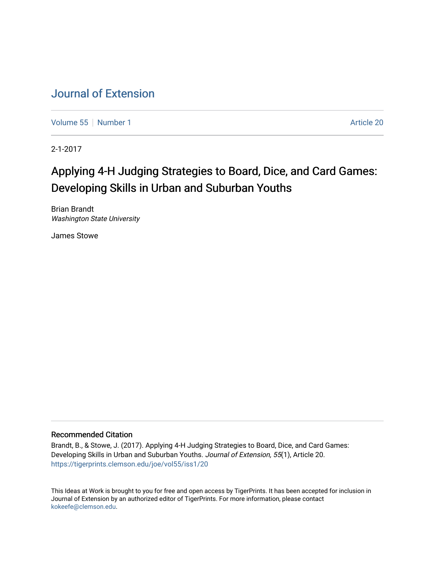# [Journal of Extension](https://tigerprints.clemson.edu/joe)

[Volume 55](https://tigerprints.clemson.edu/joe/vol55) [Number 1](https://tigerprints.clemson.edu/joe/vol55/iss1) Article 20

2-1-2017

# Applying 4-H Judging Strategies to Board, Dice, and Card Games: Developing Skills in Urban and Suburban Youths

Brian Brandt Washington State University

James Stowe

### Recommended Citation

Brandt, B., & Stowe, J. (2017). Applying 4-H Judging Strategies to Board, Dice, and Card Games: Developing Skills in Urban and Suburban Youths. Journal of Extension, 55(1), Article 20. <https://tigerprints.clemson.edu/joe/vol55/iss1/20>

This Ideas at Work is brought to you for free and open access by TigerPrints. It has been accepted for inclusion in Journal of Extension by an authorized editor of TigerPrints. For more information, please contact [kokeefe@clemson.edu](mailto:kokeefe@clemson.edu).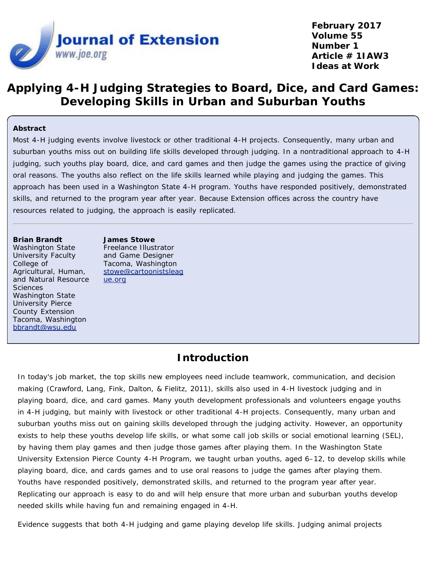

**February 2017 Volume 55 Number 1 Article # 1IAW3 Ideas at Work**

## **Applying 4-H Judging Strategies to Board, Dice, and Card Games: Developing Skills in Urban and Suburban Youths**

### **Abstract**

Most 4-H judging events involve livestock or other traditional 4-H projects. Consequently, many urban and suburban youths miss out on building life skills developed through judging. In a nontraditional approach to 4-H judging, such youths play board, dice, and card games and then judge the games using the practice of giving oral reasons. The youths also reflect on the life skills learned while playing and judging the games. This approach has been used in a Washington State 4-H program. Youths have responded positively, demonstrated skills, and returned to the program year after year. Because Extension offices across the country have resources related to judging, the approach is easily replicated.

#### **Brian Brandt**

Washington State University Faculty College of Agricultural, Human, and Natural Resource **Sciences** Washington State University Pierce County Extension Tacoma, Washington [bbrandt@wsu.edu](mailto:bbrandt@wsu.edu)

**James Stowe** Freelance Illustrator and Game Designer Tacoma, Washington [stowe@cartoonistsleag](mailto:stowe@cartoonistsleague.org) [ue.org](mailto:stowe@cartoonistsleague.org)

### **Introduction**

In today's job market, the top skills new employees need include teamwork, communication, and decision making (Crawford, Lang, Fink, Dalton, & Fielitz, 2011), skills also used in 4-H livestock judging and in playing board, dice, and card games. Many youth development professionals and volunteers engage youths in 4-H judging, but mainly with livestock or other traditional 4-H projects. Consequently, many urban and suburban youths miss out on gaining skills developed through the judging activity. However, an opportunity exists to help these youths develop life skills, or what some call job skills or social emotional learning (SEL), by having them play games and then judge those games after playing them. In the Washington State University Extension Pierce County 4-H Program, we taught urban youths, aged 6–12, to develop skills while playing board, dice, and cards games and to use oral reasons to judge the games after playing them. Youths have responded positively, demonstrated skills, and returned to the program year after year. Replicating our approach is easy to do and will help ensure that more urban and suburban youths develop needed skills while having fun and remaining engaged in 4-H.

Evidence suggests that both 4-H judging and game playing develop life skills. Judging animal projects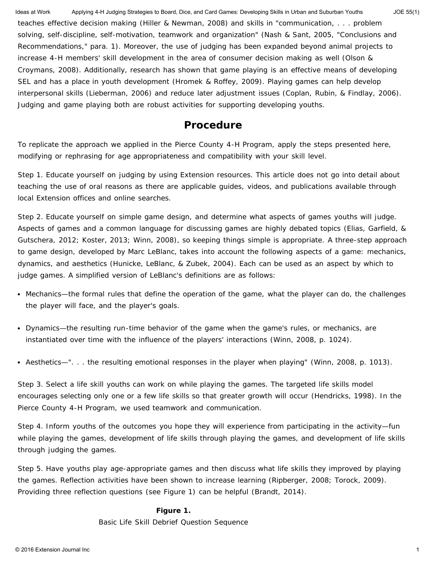teaches effective decision making (Hiller & Newman, 2008) and skills in "communication, . . . problem solving, self-discipline, self-motivation, teamwork and organization" (Nash & Sant, 2005, "Conclusions and Recommendations," para. 1). Moreover, the use of judging has been expanded beyond animal projects to increase 4-H members' skill development in the area of consumer decision making as well (Olson & Croymans, 2008). Additionally, research has shown that game playing is an effective means of developing SEL and has a place in youth development (Hromek & Roffey, 2009). Playing games can help develop interpersonal skills (Lieberman, 2006) and reduce later adjustment issues (Coplan, Rubin, & Findlay, 2006). Judging and game playing both are robust activities for supporting developing youths. Ideas at Work Applying 4-H Judging Strategies to Board, Dice, and Card Games: Developing Skills in Urban and Suburban Youths JOE 55(1)

### **Procedure**

To replicate the approach we applied in the Pierce County 4-H Program, apply the steps presented here, modifying or rephrasing for age appropriateness and compatibility with your skill level.

*Step 1.* Educate yourself on judging by using Extension resources. This article does not go into detail about teaching the use of oral reasons as there are applicable guides, videos, and publications available through local Extension offices and online searches.

*Step 2.* Educate yourself on simple game design, and determine what aspects of games youths will judge. Aspects of games and a common language for discussing games are highly debated topics (Elias, Garfield, & Gutschera, 2012; Koster, 2013; Winn, 2008), so keeping things simple is appropriate. A three-step approach to game design, developed by Marc LeBlanc, takes into account the following aspects of a game: mechanics, dynamics, and aesthetics (Hunicke, LeBlanc, & Zubek, 2004). Each can be used as an aspect by which to judge games. A simplified version of LeBlanc's definitions are as follows:

- Mechanics—the formal rules that define the operation of the game, what the player can do, the challenges the player will face, and the player's goals.
- Dynamics—the resulting run-time behavior of the game when the game's rules, or mechanics, are instantiated over time with the influence of the players' interactions (Winn, 2008, p. 1024).
- Aesthetics—". . . the resulting emotional responses in the player when playing" (Winn, 2008, p. 1013).

*Step 3.* Select a life skill youths can work on while playing the games. The targeted life skills model encourages selecting only one or a few life skills so that greater growth will occur (Hendricks, 1998). In the Pierce County 4-H Program, we used teamwork and communication.

*Step 4.* Inform youths of the outcomes you hope they will experience from participating in the activity—fun while playing the games, development of life skills through playing the games, and development of life skills through judging the games.

*Step 5.* Have youths play age-appropriate games and then discuss what life skills they improved by playing the games. Reflection activities have been shown to increase learning (Ripberger, 2008; Torock, 2009). Providing three reflection questions (see Figure 1) can be helpful (Brandt, 2014).

### **Figure 1.**

Basic Life Skill Debrief Question Sequence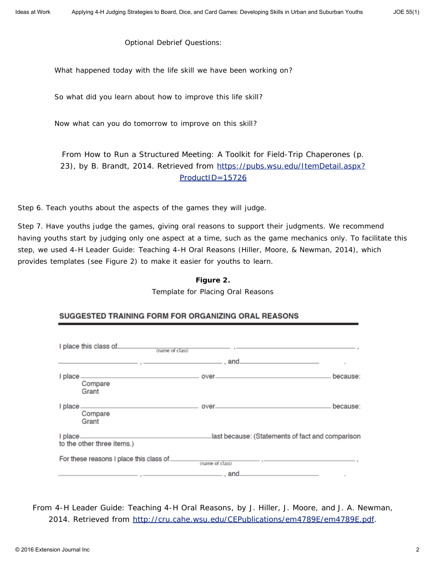Optional Debrief Questions:

What happened today with the life skill we have been working on?

So what did you learn about how to improve this life skill?

Now what can you do tomorrow to improve on this skill?

From *How to Run a Structured Meeting: A Toolkit for Field-Trip Chaperones* (p. 23), by B. Brandt, 2014. Retrieved from [https://pubs.wsu.edu/ItemDetail.aspx?](https://pubs.wsu.edu/ItemDetail.aspx?ProductID=15726) [ProductID=15726](https://pubs.wsu.edu/ItemDetail.aspx?ProductID=15726)

*Step 6.* Teach youths about the aspects of the games they will judge.

*Step 7.* Have youths judge the games, giving oral reasons to support their judgments. We recommend having youths start by judging only one aspect at a time, such as the game mechanics only. To facilitate this step, we used *4-H Leader Guide: Teaching 4-H Oral Reasons* (Hiller, Moore, & Newman, 2014), which provides templates (see Figure 2) to make it easier for youths to learn.

#### **Figure 2.**

Template for Placing Oral Reasons

| I place this class of<br>(name of class) |                             |                                                  |
|------------------------------------------|-----------------------------|--------------------------------------------------|
| Compare<br>Grant                         |                             | because:                                         |
| I place_<br>Compare<br>Grant             |                             | because:                                         |
| I place_<br>to the other three items.)   |                             | last because: (Statements of fact and comparison |
| For these reasons I place this class of. | (name of class)<br>_ . and. |                                                  |

#### SUGGESTED TRAINING FORM FOR ORGANIZING ORAL REASONS

From *4-H Leader Guide: Teaching 4-H Oral Reasons*, by J. Hiller, J. Moore, and J. A. Newman, 2014. Retrieved from [http://cru.cahe.wsu.edu/CEPublications/em4789E/em4789E.pdf.](http://cru.cahe.wsu.edu/CEPublications/em4789E/em4789E.pdf)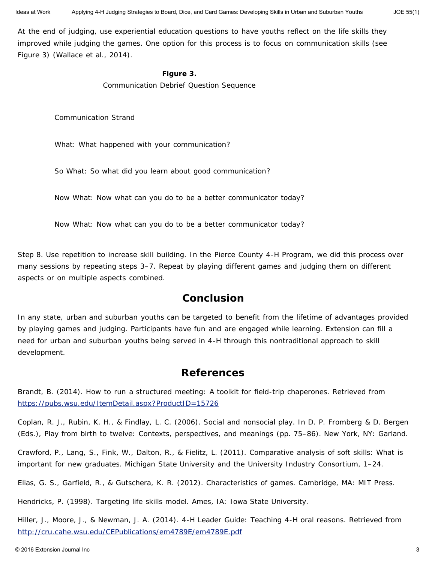At the end of judging, use experiential education questions to have youths reflect on the life skills they improved while judging the games. One option for this process is to focus on communication skills (see Figure 3) (Wallace et al., 2014).

### **Figure 3.**

Communication Debrief Question Sequence

Communication Strand

What: What happened with your communication?

So What: So what did you learn about good communication?

Now What: Now what can you do to be a better communicator today?

Now What: Now what can you do to be a better communicator today?

*Step 8.* Use repetition to increase skill building. In the Pierce County 4-H Program, we did this process over many sessions by repeating steps 3–7. Repeat by playing different games and judging them on different aspects or on multiple aspects combined.

### **Conclusion**

In any state, urban and suburban youths can be targeted to benefit from the lifetime of advantages provided by playing games and judging. Participants have fun and are engaged while learning. Extension can fill a need for urban and suburban youths being served in 4-H through this nontraditional approach to skill development.

### **References**

Brandt, B. (2014). *How to run a structured meeting: A toolkit for field-trip chaperones.* Retrieved from <https://pubs.wsu.edu/ItemDetail.aspx?ProductID=15726>

Coplan, R. J., Rubin, K. H., & Findlay, L. C. (2006). Social and nonsocial play. In D. P. Fromberg & D. Bergen (Eds.), *Play from birth to twelve: Contexts, perspectives, and meanings* (pp. 75–86). New York, NY: Garland.

Crawford, P., Lang, S., Fink, W., Dalton, R., & Fielitz, L. (2011). Comparative analysis of soft skills: What is important for new graduates. *Michigan State University and the University Industry Consortium*, 1–24.

Elias, G. S., Garfield, R., & Gutschera, K. R. (2012). *Characteristics of games.* Cambridge, MA: MIT Press.

Hendricks, P. (1998). *Targeting life skills model.* Ames, IA: Iowa State University.

Hiller, J., Moore, J., & Newman, J. A. (2014). *4-H Leader Guide: Teaching 4-H oral reasons.* Retrieved from <http://cru.cahe.wsu.edu/CEPublications/em4789E/em4789E.pdf>